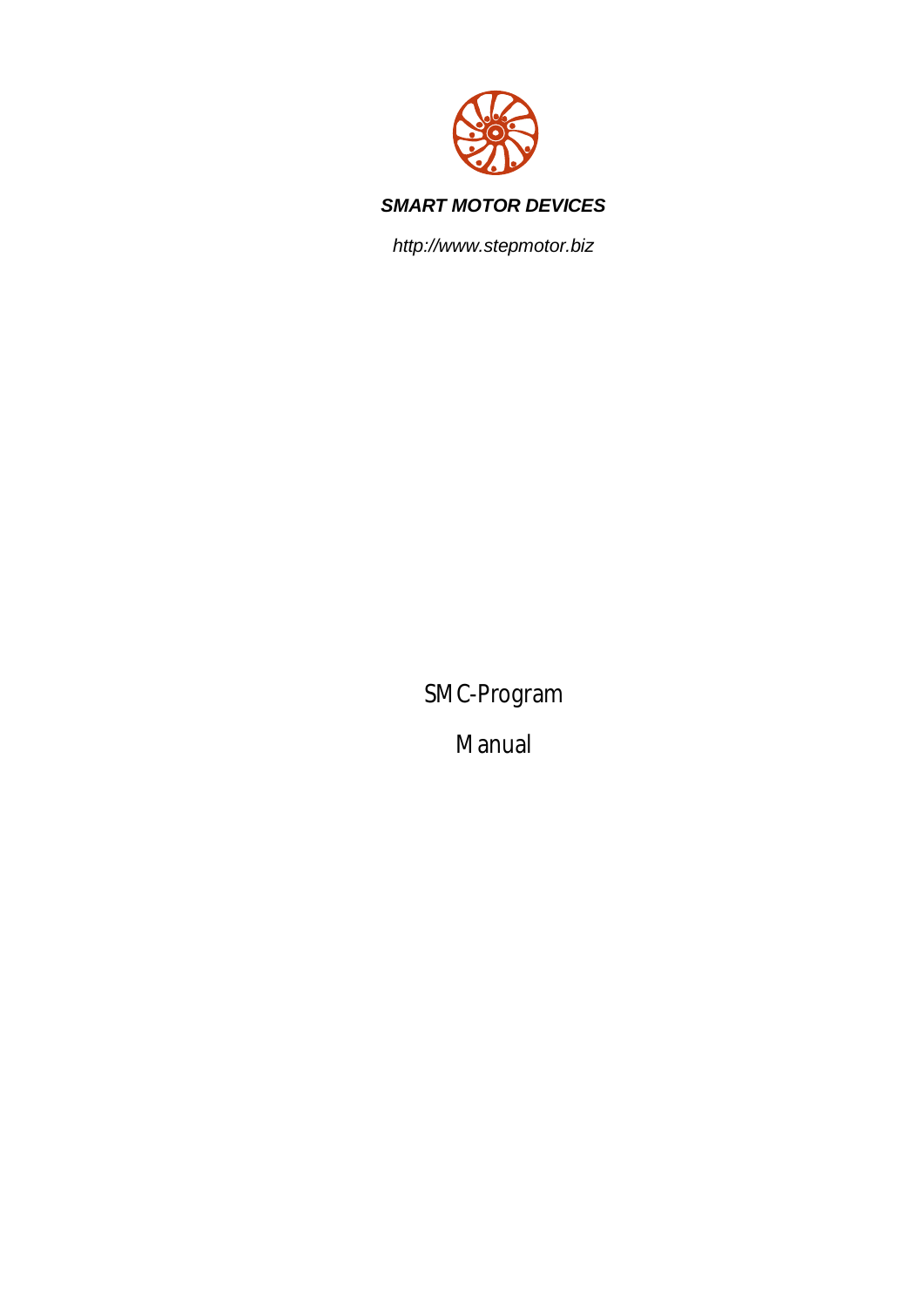

### *SMART MOTOR DEVICES*

*http://www.stepmotor.biz*

SMC-Program

Manual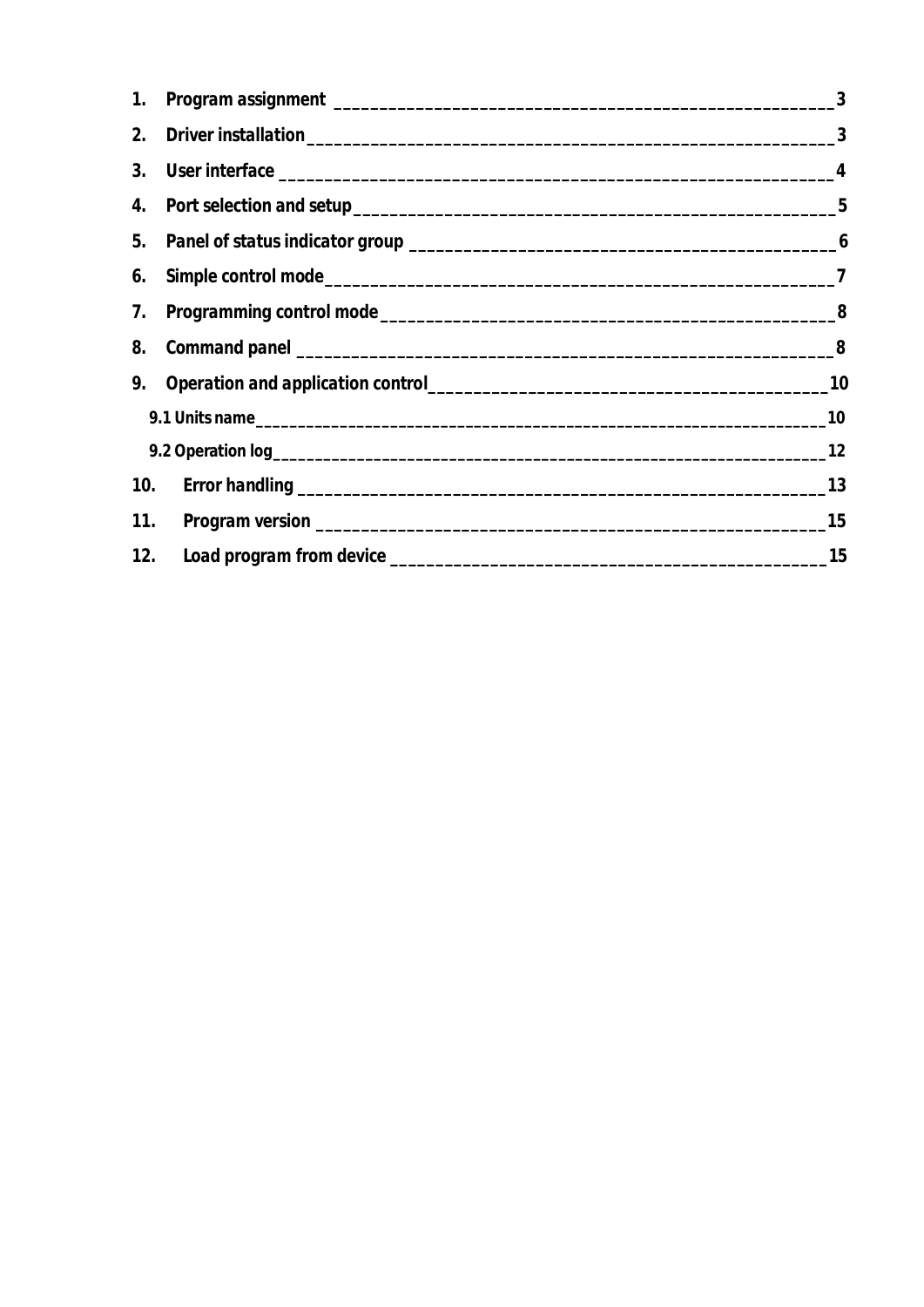|    | $\sim$ 3 |
|----|----------|
|    |          |
|    |          |
|    |          |
|    |          |
| 6. |          |
|    |          |
|    |          |
|    |          |
|    |          |
|    |          |
|    |          |
|    |          |
|    |          |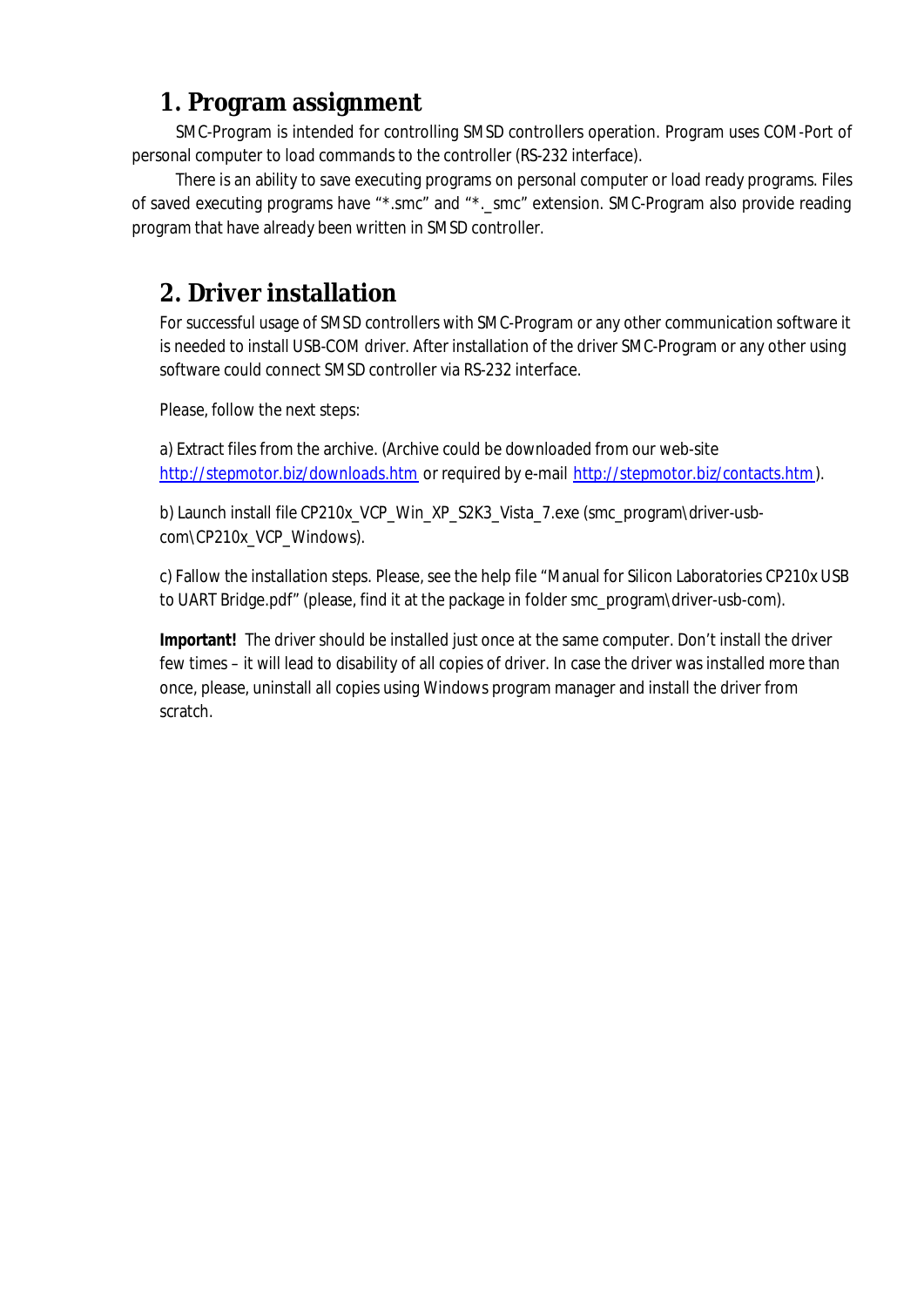# **1. Program assignment**

SMC-Program is intended for controlling SMSD controllers operation. Program uses COM-Port of personal computer to load commands to the controller (RS-232 interface).

There is an ability to save executing programs on personal computer or load ready programs. Files of saved executing programs have "\*.smc" and "\*.\_smc" extension. SMC-Program also provide reading program that have already been written in SMSD controller.

# **2. Driver installation**

For successful usage of SMSD controllers with SMC-Program or any other communication software it is needed to install USB-COM driver. After installation of the driver SMC-Program or any other using software could connect SMSD controller via RS-232 interface.

Please, follow the next steps:

a) Extract files from the archive. (Archive could be downloaded from our web-site http://stepmotor.biz/downloads.htm or required by e-mail http://stepmotor.biz/contacts.htm).

b) Launch install file CP210x\_VCP\_Win\_XP\_S2K3\_Vista\_7.exe (smc\_program\driver-usbcom\CP210x\_VCP\_Windows).

c) Fallow the installation steps. Please, see the help file "Manual for Silicon Laboratories CP210x USB to UART Bridge.pdf" (please, find it at the package in folder smc\_program\driver-usb-com).

**Important!** The driver should be installed just once at the same computer. Don't install the driver few times – it will lead to disability of all copies of driver. In case the driver was installed more than once, please, uninstall all copies using Windows program manager and install the driver from scratch.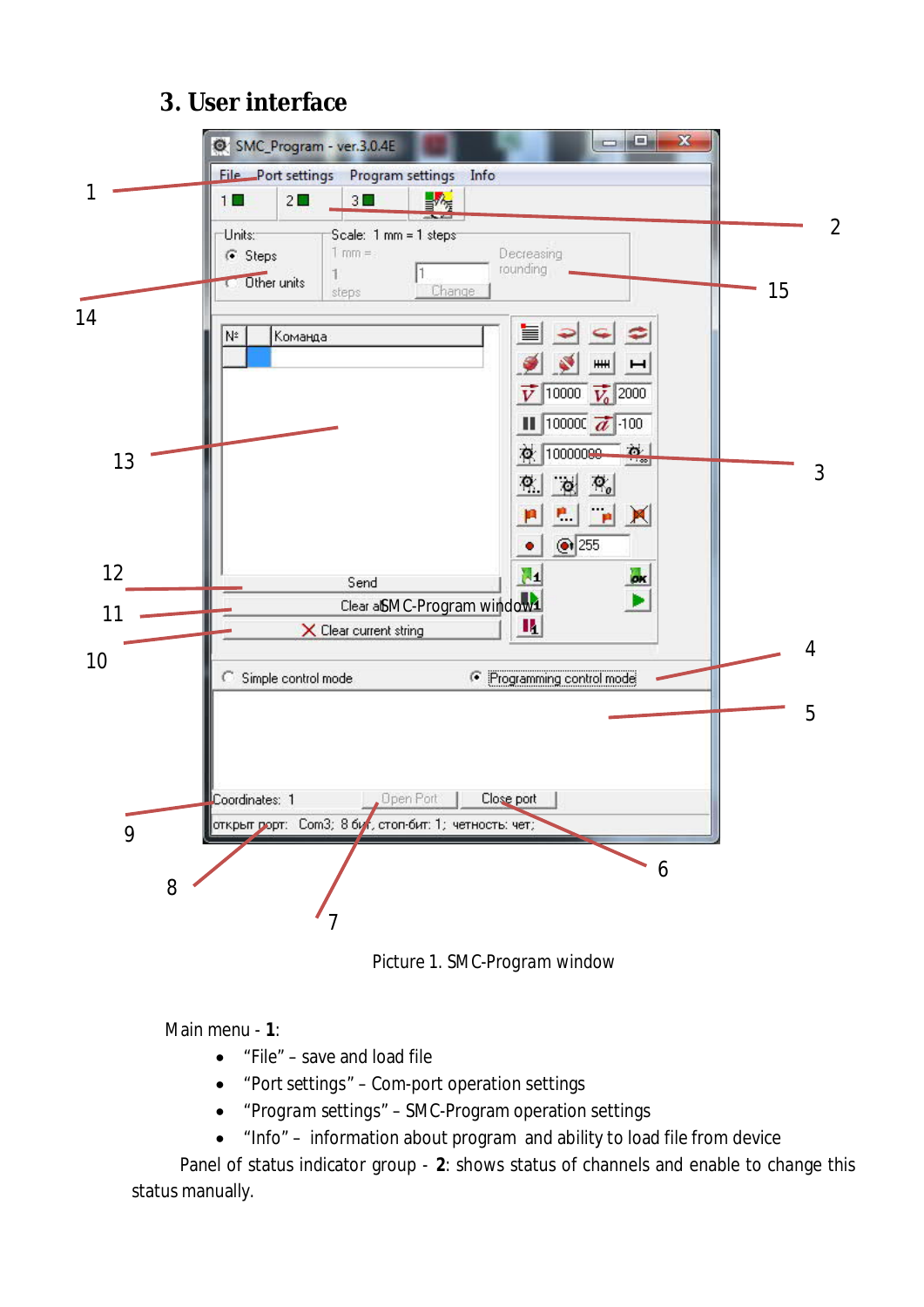# **3. User interface**



*Picture 1. SMC-Program window*

Main menu - **1**:

- · "*File*" save and load file
- · "*Port settings*" Com-port operation settings
- · "*Program settings*" SMC-Program operation settings
- · "*Info*" information about program and ability to load file from device

 Panel of status indicator group - **2**: shows status of channels and enable to change this status manually.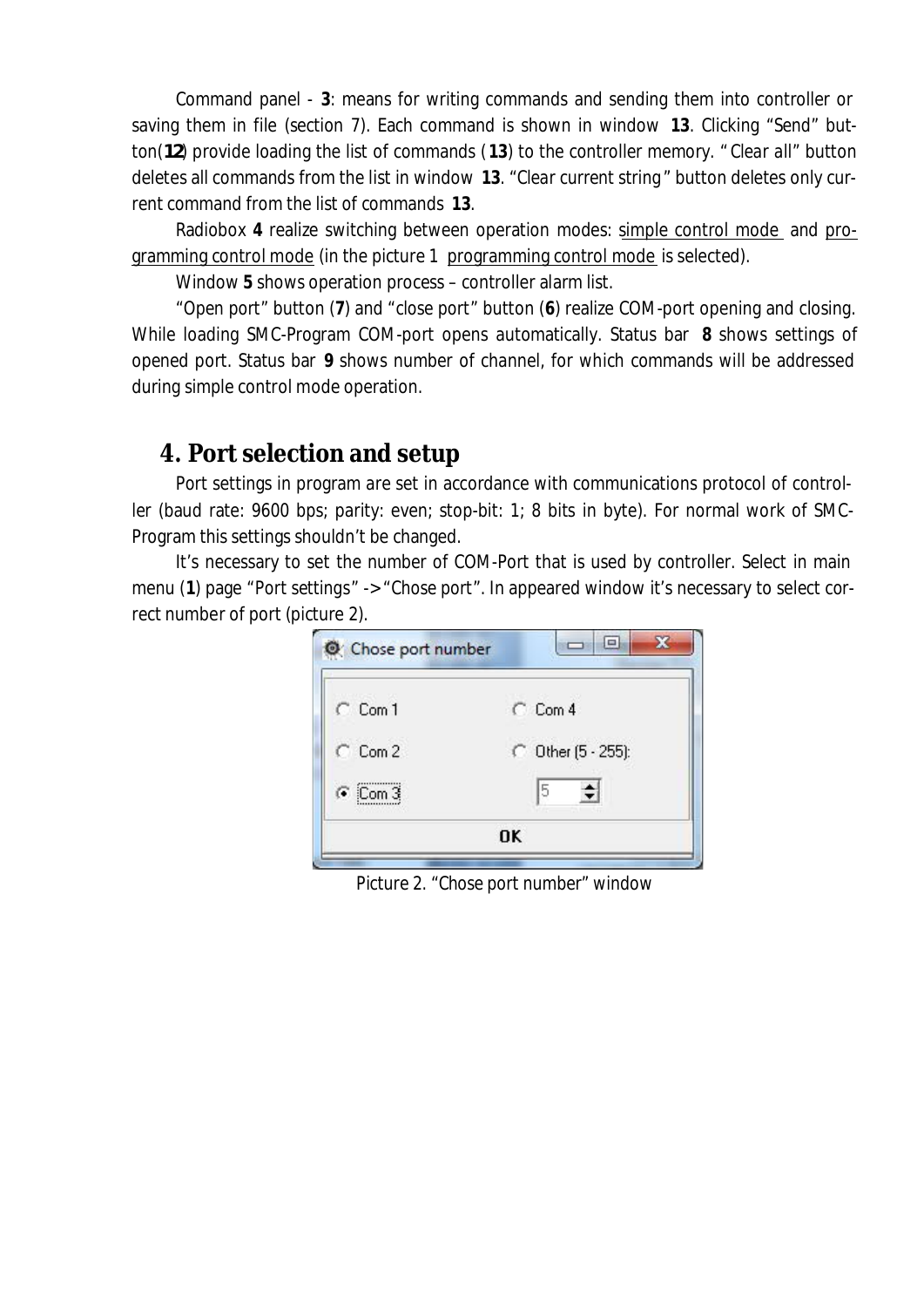Command panel - **3**: means for writing commands and sending them into controller or saving them in file (section 7). Each command is shown in window **13**. Clicking "*Send*" button(*12*) provide loading the list of commands (**13**) to the controller memory. " *Clear all*" button deletes all commands from the list in window **13**. "*Clear current string*" button deletes only current command from the list of commands **13**.

Radiobox **4** realize switching between operation modes: simple control mode and programming control mode (in the picture 1 programming control mode is selected).

Window **5** shows operation process – controller alarm list.

"*Open port*" button (**7**) and "*close port*" button (**6**) realize COM-port opening and closing. While loading SMC-Program COM-port opens automatically. Status bar **8** shows settings of opened port. Status bar **9** shows number of channel, for which commands will be addressed during simple control mode operation.

## **4. Port selection and setup**

Port settings in program are set in accordance with communications protocol of controller (baud rate: 9600 bps; parity: even; stop-bit: 1; 8 bits in byte). For normal work of SMC-Program this settings shouldn't be changed.

It's necessary to set the number of COM-Port that is used by controller. Select in main menu (**1**) page "*Port settings*" -> "*Chose port*". In appeared window it's necessary to select correct number of port (picture 2).

| $C_{CDm1}$      | $C_{CDm}$ 4        |
|-----------------|--------------------|
| $C_{\rm Com}$ 2 | C Other (5 - 255): |
| $C$ Com 3       | 5<br>न             |

*Picture 2. "Chose port number" window*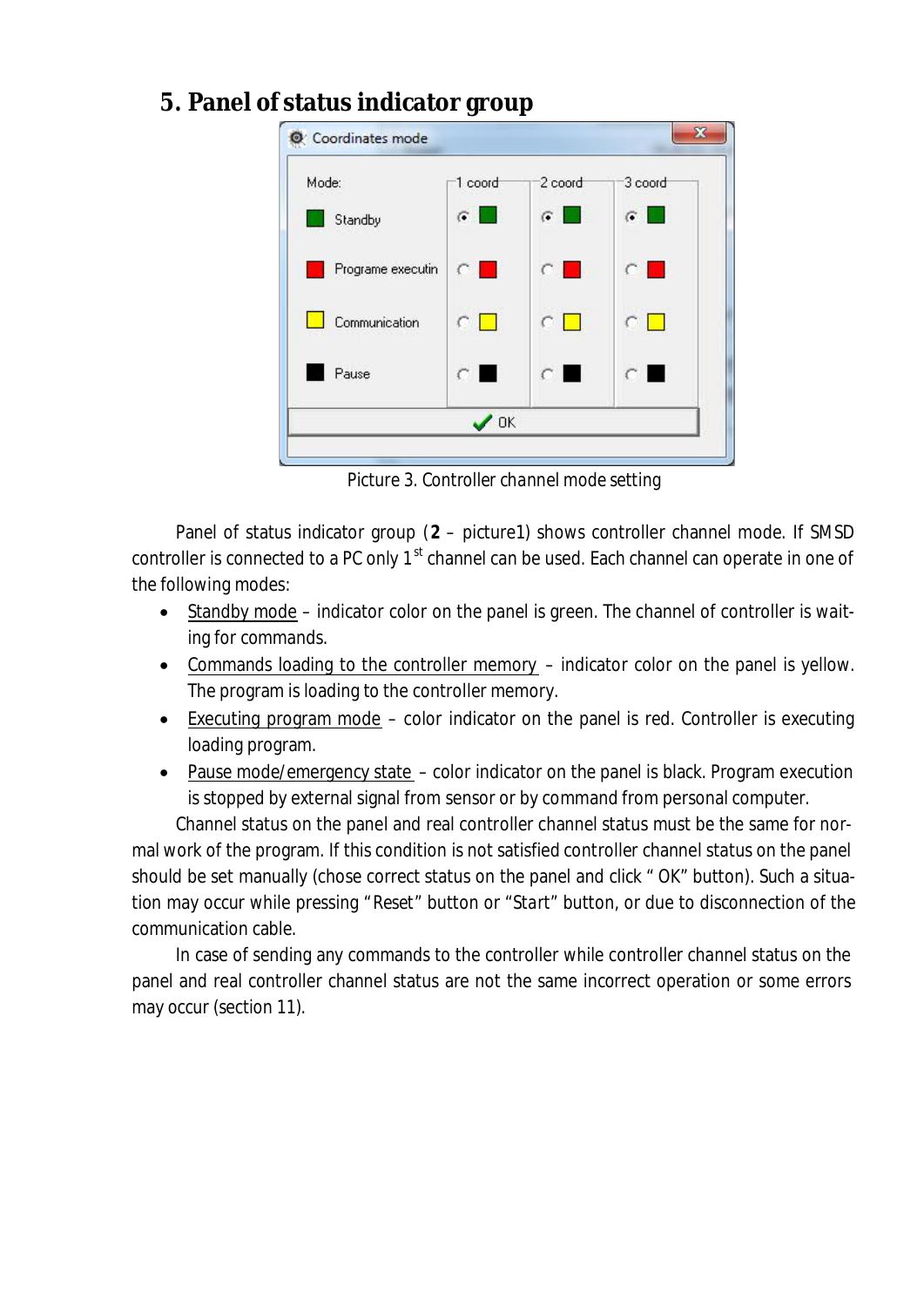**5. Panel of status indicator group**



*Picture 3. Controller channel mode setting*

Panel of status indicator group (**2** – picture1) shows controller channel mode. If SMSD controller is connected to a PC only  $1<sup>st</sup>$  channel can be used. Each channel can operate in one of the following modes:

- Standby mode indicator color on the panel is green. The channel of controller is waiting for commands.
- · Commands loading to the controller memory indicator color on the panel is yellow. The program is loading to the controller memory.
- Executing program mode color indicator on the panel is red. Controller is executing loading program.
- Pause mode/emergency state color indicator on the panel is black. Program execution is stopped by external signal from sensor or by command from personal computer.

Channel status on the panel and real controller channel status must be the same for normal work of the program. If this condition is not satisfied controller channel status on the panel should be set manually (chose correct status on the panel and click " *OK*" button). Such a situation may occur while pressing "*Reset*" button or "*Start*" button, or due to disconnection of the communication cable.

In case of sending any commands to the controller while controller channel status on the panel and real controller channel status are not the same incorrect operation or some errors may occur (section 11).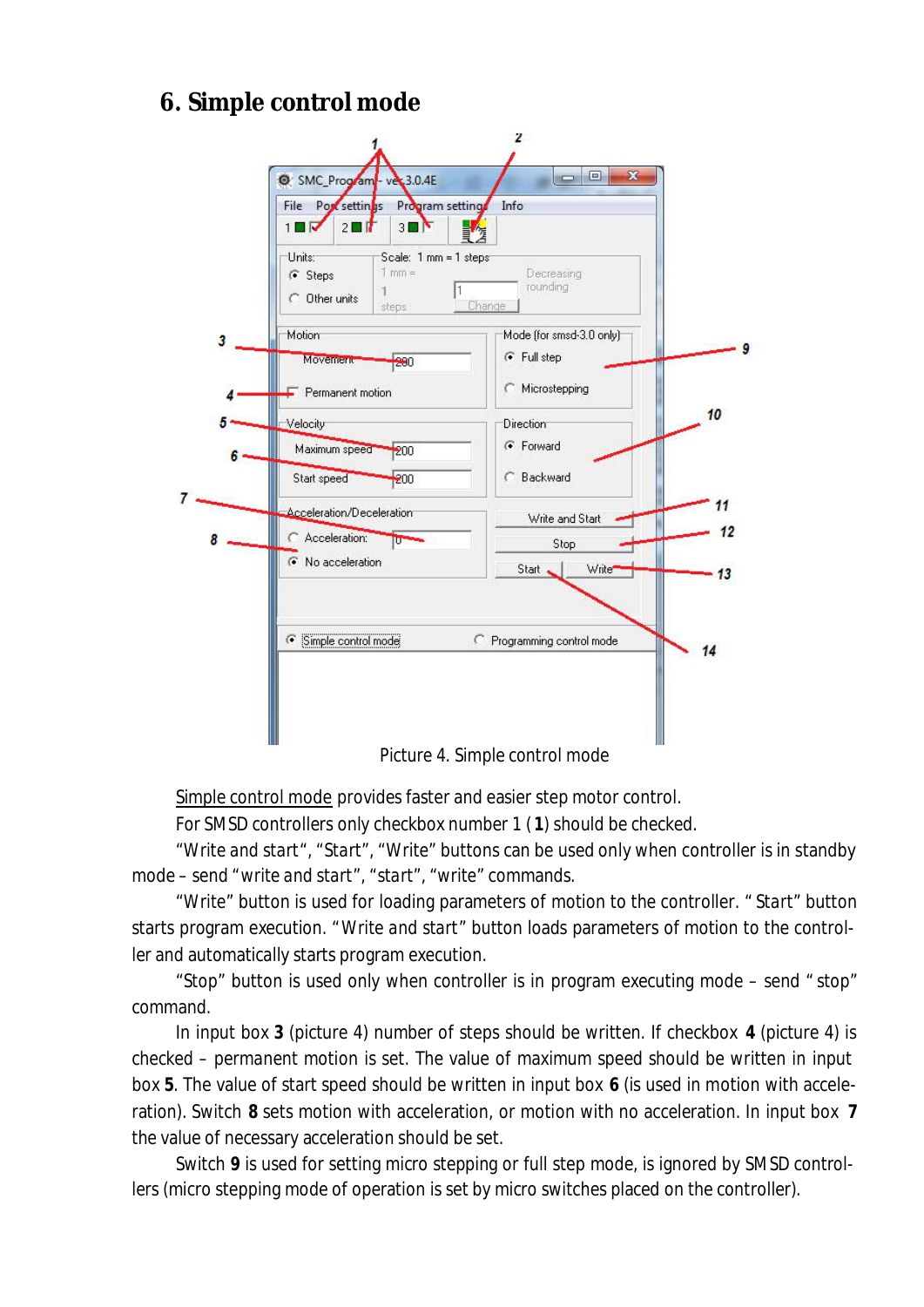# **6. Simple control mode**



*Picture 4. Simple control mode*

Simple control mode provides faster and easier step motor control.

For SMSD controllers only checkbox number 1 ( **1**) should be checked.

*"Write and start*", "*Start*", "*Write*" buttons can be used only when controller is in standby mode – send "*write and start*", "*start*", "*write*" commands.

"*Write*" button is used for loading parameters of motion to the controller. " *Start*" button starts program execution. "*Write and start*" button loads parameters of motion to the controller and automatically starts program execution.

"*Stop*" button is used only when controller is in program executing mode – send " *stop*" command.

In input box **3** (picture 4) number of steps should be written. If checkbox **4** (picture 4) is checked – permanent motion is set. The value of maximum speed should be written in input box **5**. The value of start speed should be written in input box **6** (is used in motion with acceleration). Switch **8** sets motion with acceleration, or motion with no acceleration. In input box **7** the value of necessary acceleration should be set.

Switch **9** is used for setting micro stepping or full step mode, is ignored by SMSD controllers (micro stepping mode of operation is set by micro switches placed on the controller).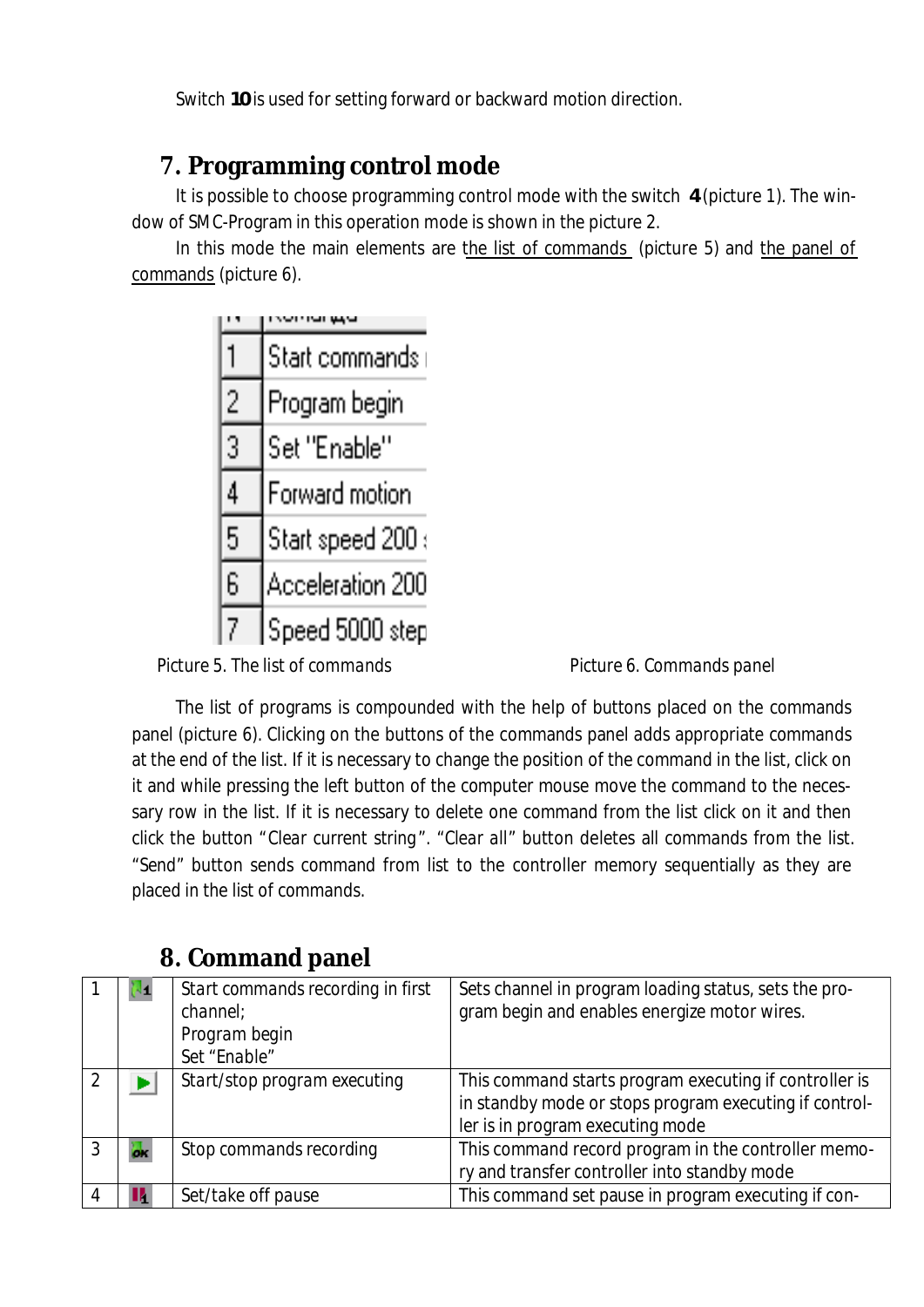Switch **10** is used for setting forward or backward motion direction.

# **7. Programming control mode**

It is possible to choose programming control mode with the switch **4** (picture 1). The window of SMC-Program in this operation mode is shown in the picture 2.

In this mode the main elements are the list of commands (picture 5) and the panel of commands (picture 6).

|   | Start commands    |
|---|-------------------|
|   | Program begin     |
| 3 | Set "Enable"      |
| 4 | Forward motion    |
| 5 | Start speed 200 : |
| 6 | Acceleration 200  |
| 7 | Speed 5000 step   |

Picture 5. The list of commands **Picture 6. Commands panel** 

The list of programs is compounded with the help of buttons placed on the commands panel (picture 6). Clicking on the buttons of the commands panel adds appropriate commands at the end of the list. If it is necessary to change the position of the command in the list, click on it and while pressing the left button of the computer mouse move the command to the necessary row in the list. If it is necessary to delete one command from the list click on it and then click the button "*Clear current string*". "*Clear all*" button deletes all commands from the list. "*Send*" button sends command from list to the controller memory sequentially as they are placed in the list of commands.

|  | Start commands recording in first<br>channel;<br>Program begin<br>Set "Enable" | Sets channel in program loading status, sets the pro-<br>gram begin and enables energize motor wires.                                                |
|--|--------------------------------------------------------------------------------|------------------------------------------------------------------------------------------------------------------------------------------------------|
|  | Start/stop program executing                                                   | This command starts program executing if controller is<br>in standby mode or stops program executing if control-<br>ler is in program executing mode |
|  | Stop commands recording                                                        | This command record program in the controller memo-<br>ry and transfer controller into standby mode                                                  |
|  | Set/take off pause                                                             | This command set pause in program executing if con-                                                                                                  |

# **8. Command panel**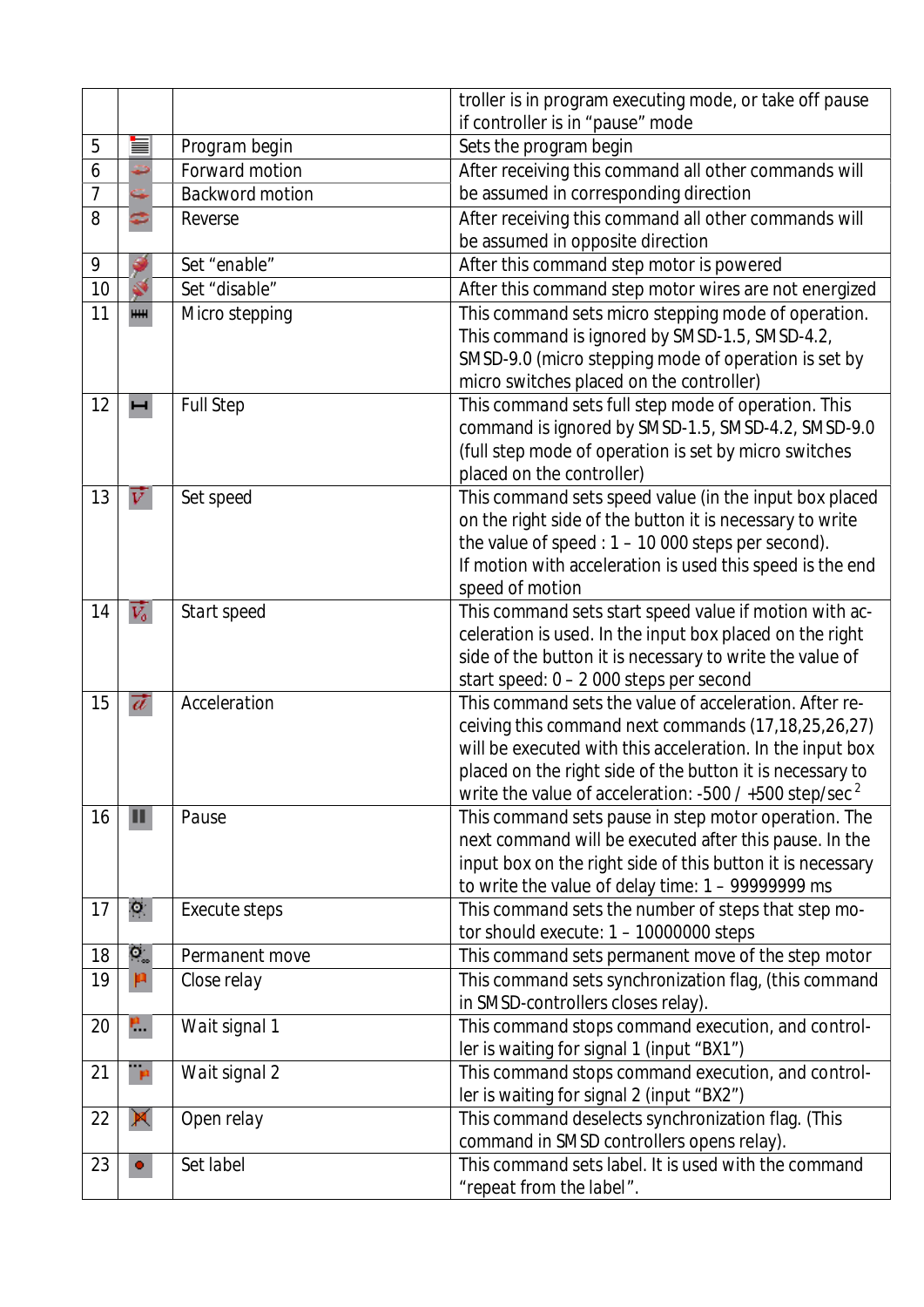|                |                  |                  | troller is in program executing mode, or take off pause                                                                |  |
|----------------|------------------|------------------|------------------------------------------------------------------------------------------------------------------------|--|
|                |                  |                  | if controller is in "pause" mode                                                                                       |  |
| 5              |                  | Program begin    | Sets the program begin                                                                                                 |  |
| 6              |                  | Forward motion   | After receiving this command all other commands will                                                                   |  |
| $\overline{7}$ |                  | Backword motion  | be assumed in corresponding direction                                                                                  |  |
| 8              |                  | Reverse          | After receiving this command all other commands will                                                                   |  |
|                |                  |                  | be assumed in opposite direction                                                                                       |  |
| 9              |                  | Set "enable"     | After this command step motor is powered                                                                               |  |
| 10             |                  | Set "disable"    | After this command step motor wires are not energized                                                                  |  |
| 11             | <b>HHH</b>       | Micro stepping   | This command sets micro stepping mode of operation.                                                                    |  |
|                |                  |                  | This command is ignored by SMSD-1.5, SMSD-4.2,                                                                         |  |
|                |                  |                  | SMSD-9.0 (micro stepping mode of operation is set by                                                                   |  |
|                |                  |                  | micro switches placed on the controller)                                                                               |  |
| 12             |                  | <b>Full Step</b> | This command sets full step mode of operation. This                                                                    |  |
|                |                  |                  | command is ignored by SMSD-1.5, SMSD-4.2, SMSD-9.0                                                                     |  |
|                |                  |                  | (full step mode of operation is set by micro switches                                                                  |  |
|                |                  |                  | placed on the controller)                                                                                              |  |
| 13             | v                | Set speed        | This command sets speed value (in the input box placed                                                                 |  |
|                |                  |                  | on the right side of the button it is necessary to write                                                               |  |
|                |                  |                  | the value of speed : $1 - 10000$ steps per second).                                                                    |  |
|                |                  |                  | If motion with acceleration is used this speed is the end                                                              |  |
|                |                  |                  | speed of motion                                                                                                        |  |
| 14             | $\overline{V_o}$ | Start speed      | This command sets start speed value if motion with ac-                                                                 |  |
|                |                  |                  | celeration is used. In the input box placed on the right                                                               |  |
|                |                  |                  | side of the button it is necessary to write the value of                                                               |  |
|                |                  |                  | start speed: 0 - 2 000 steps per second                                                                                |  |
| 15             | $\vec{a}$        | Acceleration     | This command sets the value of acceleration. After re-                                                                 |  |
|                |                  |                  | ceiving this command next commands (17,18,25,26,27)                                                                    |  |
|                |                  |                  | will be executed with this acceleration. In the input box<br>placed on the right side of the button it is necessary to |  |
|                |                  |                  | write the value of acceleration: -500 / +500 step/sec <sup>2</sup>                                                     |  |
| 16             | Ш                | Pause            | This command sets pause in step motor operation. The                                                                   |  |
|                |                  |                  | next command will be executed after this pause. In the                                                                 |  |
|                |                  |                  | input box on the right side of this button it is necessary                                                             |  |
|                |                  |                  | to write the value of delay time: 1 - 99999999 ms                                                                      |  |
| 17             | ς.               | Execute steps    | This command sets the number of steps that step mo-                                                                    |  |
|                |                  |                  | tor should execute: $1 - 10000000$ steps                                                                               |  |
| 18             | $\alpha$         | Permanent move   | This command sets permanent move of the step motor                                                                     |  |
| 19             | p                | Close relay      | This command sets synchronization flag, (this command                                                                  |  |
|                |                  |                  | in SMSD-controllers closes relay).                                                                                     |  |
| 20             | ۳.               | Wait signal 1    | This command stops command execution, and control-                                                                     |  |
|                |                  |                  | ler is waiting for signal 1 (input "BX1")                                                                              |  |
| 21             | $\mathbf{p}$     | Wait signal 2    | This command stops command execution, and control-                                                                     |  |
|                |                  |                  | ler is waiting for signal 2 (input "BX2")                                                                              |  |
| 22             | 凰                | Open relay       | This command deselects synchronization flag. (This                                                                     |  |
|                |                  |                  | command in SMSD controllers opens relay).                                                                              |  |
| 23             | ۰                | Set label        | This command sets label. It is used with the command                                                                   |  |
|                |                  |                  | "repeat from the label".                                                                                               |  |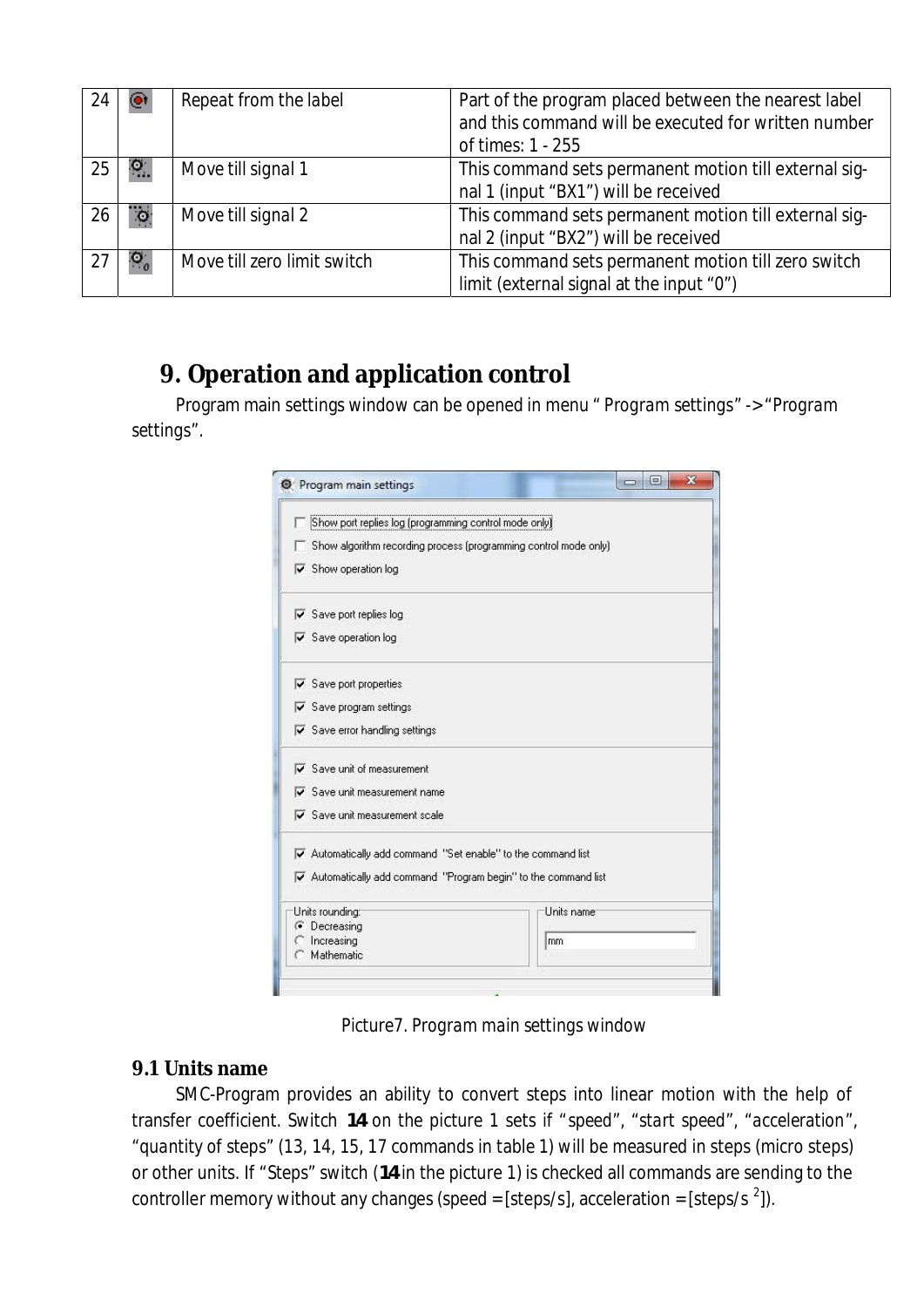| 24 |           | Repeat from the label       | Part of the program placed between the nearest label<br>and this command will be executed for written number<br>of times: 1 - 255 |
|----|-----------|-----------------------------|-----------------------------------------------------------------------------------------------------------------------------------|
| 25 | ۴.        | Move till signal 1          | This command sets permanent motion till external sig-<br>nal 1 (input "BX1") will be received                                     |
| 26 | $\bullet$ | Move till signal 2          | This command sets permanent motion till external sig-<br>nal 2 (input "BX2") will be received                                     |
| 27 | IO.       | Move till zero limit switch | This command sets permanent motion till zero switch<br>limit (external signal at the input "0")                                   |

# **9. Operation and application control**

Program main settings window can be opened in menu " *Program settings*" -> "*Program settings*".

|                                                  | Show port replies log (programming control mode only)                                 |            |  |
|--------------------------------------------------|---------------------------------------------------------------------------------------|------------|--|
|                                                  | Show algorithm recording process (programming control mode only)                      |            |  |
|                                                  | $\overline{\triangledown}$ Show operation log                                         |            |  |
|                                                  | $\overline{\triangledown}$ Save port replies log                                      |            |  |
|                                                  | $\overline{\triangledown}$ Save operation log                                         |            |  |
|                                                  | $\overline{\mathbf{v}}$ Save port properties                                          |            |  |
| $\overline{\triangledown}$ Save program settings |                                                                                       |            |  |
| $\nabla$ Save error handling settings            |                                                                                       |            |  |
|                                                  | $\overline{\mathbf{v}}$ Save unit of measurement                                      |            |  |
|                                                  | $\overline{\mathbf{v}}$ Save unit measurement name                                    |            |  |
|                                                  | $\nabla$ Save unit measurement scale                                                  |            |  |
|                                                  | Automatically add command "Set enable" to the command list                            |            |  |
|                                                  | $\overline{\mathbf{v}}$ Automatically add command "Program begin" to the command list |            |  |
|                                                  | Units rounding:                                                                       | Units name |  |
|                                                  | <b>C</b> Decreasing                                                                   |            |  |
|                                                  | Increasing<br>Mathematic                                                              | mm         |  |

*Picture7. Program main settings window*

### **9.1 Units name**

SMC-Program provides an ability to convert steps into linear motion with the help of transfer coefficient. Switch **14** on the picture 1 sets if "*speed*", "*start speed*", "*acceleration*", "*quantity of steps*" (13, 14, 15, 17 commands in table 1) will be measured in steps (micro steps) or other units. If "*Steps*" switch (**14** in the picture 1) is checked all commands are sending to the controller memory without any changes (speed = [steps/s], acceleration = [steps/s  $^{2}$ ]).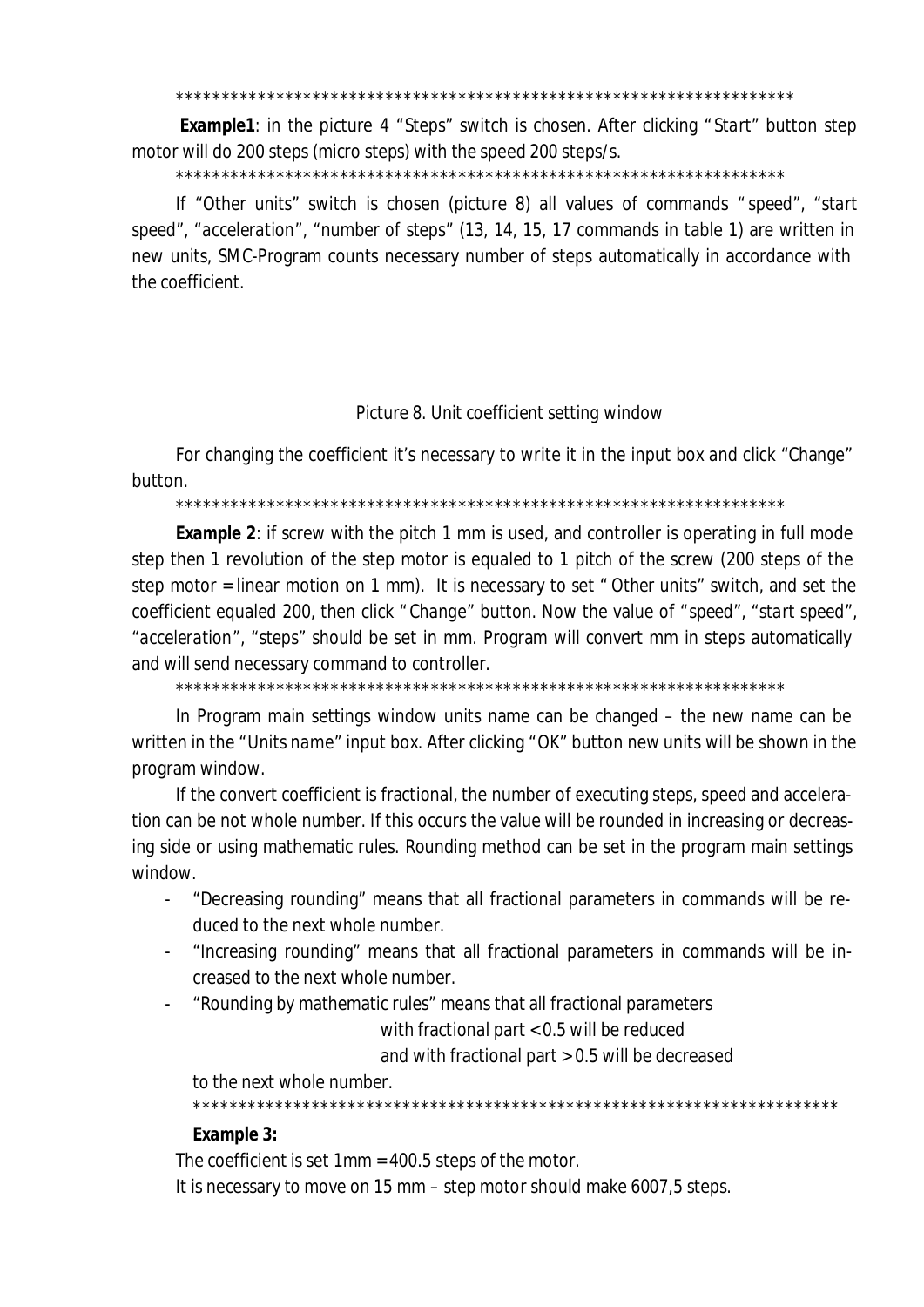\*\*\*\*\*\*\*\*\*\*\*\*\*\*\*\*\*\*\*\*\*\*\*\*\*\*\*\*\*\*\*\*\*\*\*\*\*\*\*\*\*\*\*\*\*\*\*\*\*\*\*\*\*\*\*\*\*\*\*\*\*\*\*\*\*\*\*\*

 *Example1*: in the picture 4 "*Steps*" switch is chosen. After clicking " *Start*" button step motor will do 200 steps (micro steps) with the speed 200 steps/s.

\*\*\*\*\*\*\*\*\*\*\*\*\*\*\*\*\*\*\*\*\*\*\*\*\*\*\*\*\*\*\*\*\*\*\*\*\*\*\*\*\*\*\*\*\*\*\*\*\*\*\*\*\*\*\*\*\*\*\*\*\*\*\*\*\*\*\*

If "*Other units*" switch is chosen (picture 8) all values of commands " *speed*", "*start speed*", "*acceleration*", "*number of steps*" (13, 14, 15, 17 commands in table 1) are written in new units, SMC-Program counts necessary number of steps automatically in accordance with the coefficient.

#### *Picture 8. Unit coefficient setting window*

For changing the coefficient it's necessary to write it in the input box and click "Change" button.

\*\*\*\*\*\*\*\*\*\*\*\*\*\*\*\*\*\*\*\*\*\*\*\*\*\*\*\*\*\*\*\*\*\*\*\*\*\*\*\*\*\*\*\*\*\*\*\*\*\*\*\*\*\*\*\*\*\*\*\*\*\*\*\*\*\*\*

*Example 2*: if screw with the pitch 1 mm is used, and controller is operating in full mode step then 1 revolution of the step motor is equaled to 1 pitch of the screw (200 steps of the step motor = linear motion on 1 mm). It is necessary to set " *Other units*" switch, and set the coefficient equaled 200, then click " *Change*" button. Now the value of "*speed*", "*start speed*", "*acceleration*", "*steps*" should be set in mm. Program will convert mm in steps automatically and will send necessary command to controller.

\*\*\*\*\*\*\*\*\*\*\*\*\*\*\*\*\*\*\*\*\*\*\*\*\*\*\*\*\*\*\*\*\*\*\*\*\*\*\*\*\*\*\*\*\*\*\*\*\*\*\*\*\*\*\*\*\*\*\*\*\*\*\*\*\*\*\*

In Program main settings window units name can be changed – the new name can be written in the "*Units name*" input box. After clicking "*OK*" button new units will be shown in the program window.

If the convert coefficient is fractional, the number of executing steps, speed and acceleration can be not whole number. If this occurs the value will be rounded in increasing or decreasing side or using mathematic rules. Rounding method can be set in the program main settings window.

- "Decreasing rounding" means that all fractional parameters in commands will be reduced to the next whole number.
- "Increasing rounding" means that all fractional parameters in commands will be increased to the next whole number.
- "Rounding by mathematic rules" means that all fractional parameters

with fractional part < 0.5 will be reduced

and with fractional part > 0.5 will be decreased

to the next whole number.

\*\*\*\*\*\*\*\*\*\*\*\*\*\*\*\*\*\*\*\*\*\*\*\*\*\*\*\*\*\*\*\*\*\*\*\*\*\*\*\*\*\*\*\*\*\*\*\*\*\*\*\*\*\*\*\*\*\*\*\*\*\*\*\*\*\*\*\*\*\*\*

*Example 3:*

The coefficient is set 1mm = 400.5 steps of the motor.

It is necessary to move on 15 mm – step motor should make 6007,5 steps.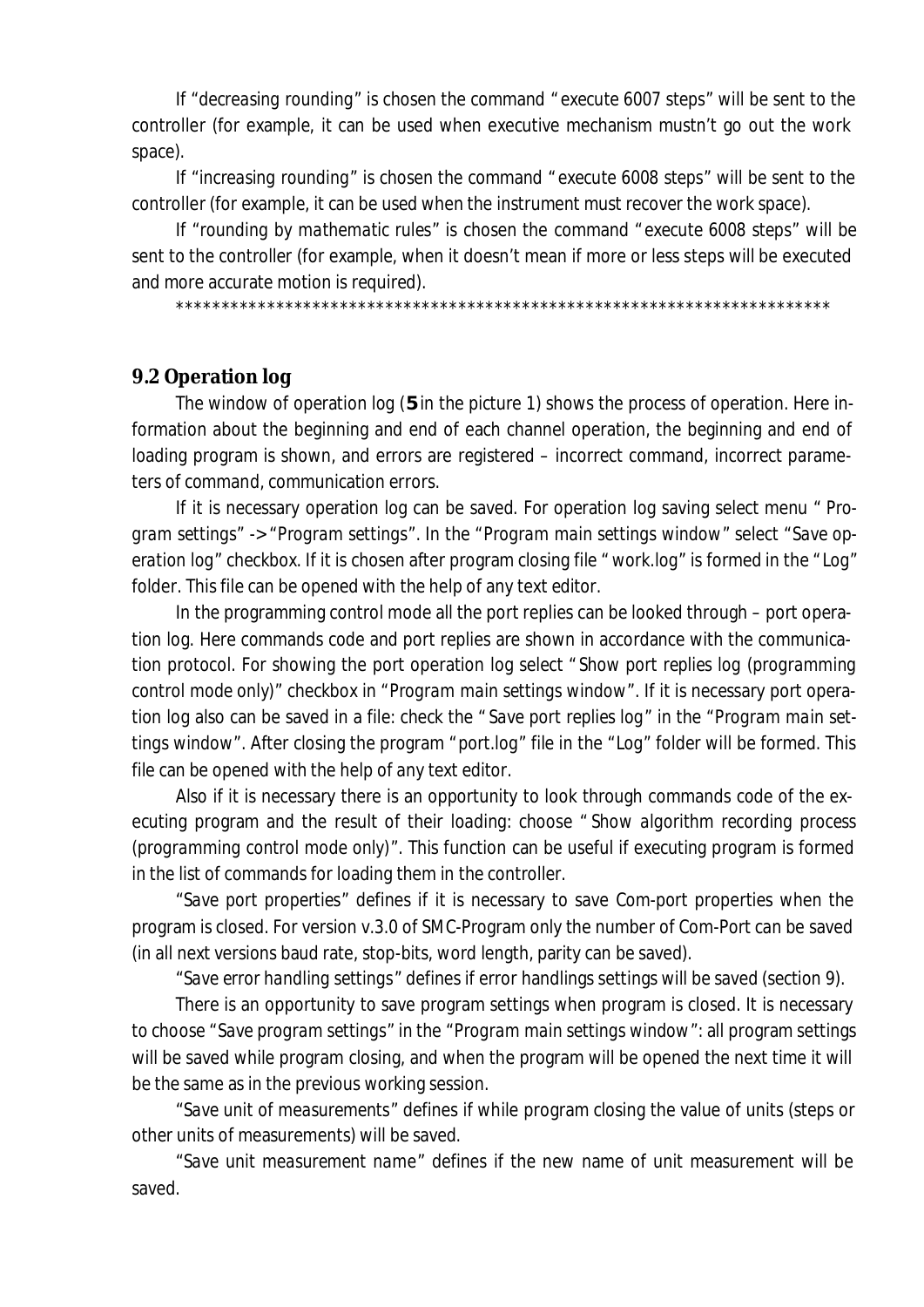If "*decreasing rounding*" is chosen the command " *execute 6007 steps*" will be sent to the controller (for example, it can be used when executive mechanism mustn't go out the work space).

If "*increasing rounding*" is chosen the command " *execute 6008 steps*" will be sent to the controller (for example, it can be used when the instrument must recover the work space).

If "*rounding by mathematic rules*" is chosen the command "*execute 6008 steps*" will be sent to the controller (for example, when it doesn't mean if more or less steps will be executed and more accurate motion is required).

\*\*\*\*\*\*\*\*\*\*\*\*\*\*\*\*\*\*\*\*\*\*\*\*\*\*\*\*\*\*\*\*\*\*\*\*\*\*\*\*\*\*\*\*\*\*\*\*\*\*\*\*\*\*\*\*\*\*\*\*\*\*\*\*\*\*\*\*\*\*\*\*

#### **9.2 Operation log**

The window of operation log (**5** in the picture 1) shows the process of operation. Here information about the beginning and end of each channel operation, the beginning and end of loading program is shown, and errors are registered – incorrect command, incorrect parameters of command, communication errors.

If it is necessary operation log can be saved. For operation log saving select menu " *Program settings*" -> "*Program settings*". In the "*Program main settings window*" select "*Save operation log*" checkbox. If it is chosen after program closing file " *work.log*" is formed in the "*Log*" folder. This file can be opened with the help of any text editor.

In the programming control mode all the port replies can be looked through – port operation log. Here commands code and port replies are shown in accordance with the communication protocol. For showing the port operation log select " *Show port replies log (programming control mode only)*" checkbox in "*Program main settings window*". If it is necessary port operation log also can be saved in a file: check the " *Save port replies log*" in the "*Program main settings window*". After closing the program "*port.log*" file in the "*Log*" folder will be formed. This file can be opened with the help of any text editor.

Also if it is necessary there is an opportunity to look through commands code of the executing program and the result of their loading: choose " *Show algorithm recording process (programming control mode only)*". This function can be useful if executing program is formed in the list of commands for loading them in the controller.

"*Save port properties*" defines if it is necessary to save Com-port properties when the program is closed. For version v.3.0 of SMC-Program only the number of Com-Port can be saved (in all next versions baud rate, stop-bits, word length, parity can be saved).

"*Save error handling settings*" defines if error handlings settings will be saved (section 9).

There is an opportunity to save program settings when program is closed. It is necessary to choose "*Save program settings*" in the "*Program main settings window*": all program settings will be saved while program closing, and when the program will be opened the next time it will be the same as in the previous working session.

"*Save unit of measurements*" defines if while program closing the value of units (steps or other units of measurements) will be saved.

"*Save unit measurement name*" defines if the new name of unit measurement will be saved.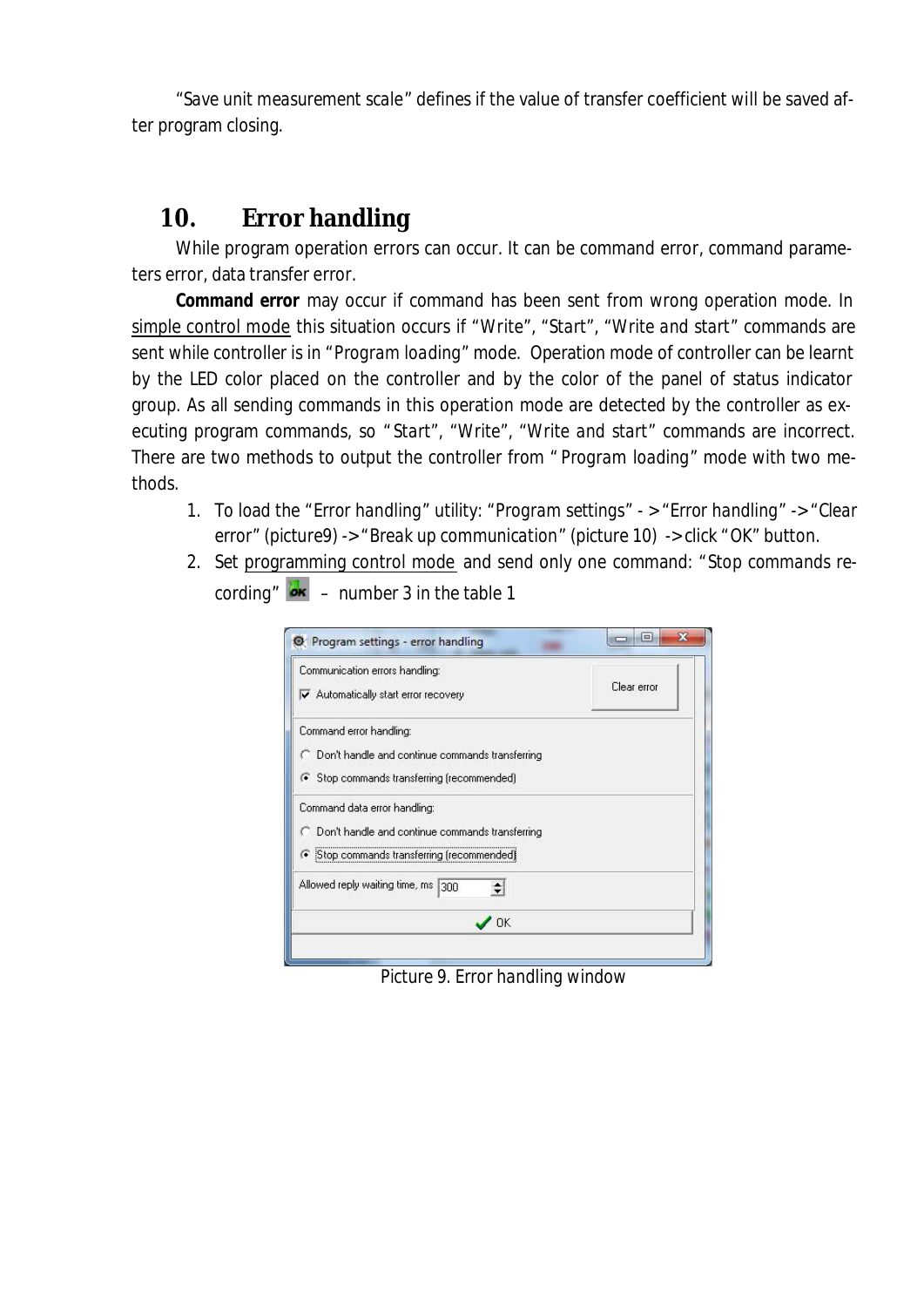"*Save unit measurement scale*" defines if the value of transfer coefficient will be saved after program closing.

## **10. Error handling**

While program operation errors can occur. It can be command error, command parameters error, data transfer error.

*Command error* may occur if command has been sent from wrong operation mode. In simple control mode this situation occurs if "*Write*", "*Start*", "*Write and start*" commands are sent while controller is in "*Program loading*" mode. Operation mode of controller can be learnt by the LED color placed on the controller and by the color of the panel of status indicator group. As all sending commands in this operation mode are detected by the controller as executing program commands, so " *Start*", "*Write*", "*Write and start*" commands are incorrect. There are two methods to output the controller from " *Program loading*" mode with two methods.

- 1. To load the "*Error handling*" utility: "*Program settings*" > "*Error handling*" -> "*Clear error*" (picture9) -> "*Break up communication*" (picture 10) -> click "*OK*" button.
- 2. Set programming control mode and send only one command: "*Stop commands re*cording"  $\overline{\mathbf{e}}$  – number 3 in the table 1

| Communication errors handling:                         | Clear error |
|--------------------------------------------------------|-------------|
| Automatically start error recovery                     |             |
| Command error handling:                                |             |
| C Don't handle and continue commands transferring      |             |
| ← Stop commands transferring (recommended)             |             |
| Command data error handling:                           |             |
| <b>Don't handle and continue commands transferring</b> |             |
| ← Stop commands transferring (recommended)             |             |
| Allowed reply waiting time, ms<br>300                  |             |
| OK                                                     |             |

*Picture 9. Error handling window*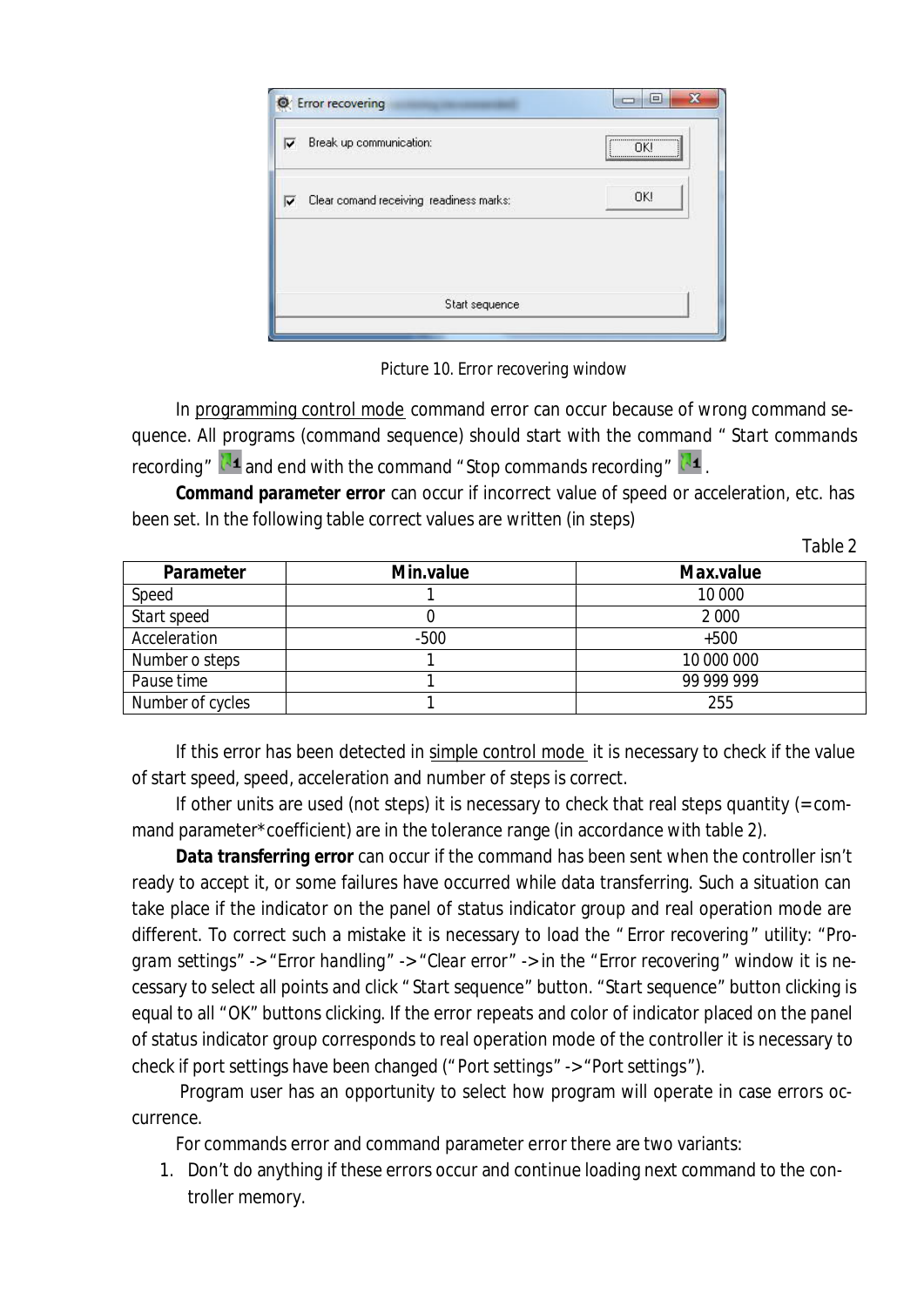| Break up communication:<br>⊽                 |                | <br>ΠKΙ<br>,,,,,,,,,,,,,,,,,,,,,,,,,,,,,,,, |
|----------------------------------------------|----------------|---------------------------------------------|
| Clear comand receiving readiness marks:<br>⊽ |                | OK!                                         |
|                                              | Start sequence |                                             |

*Picture 10. Error recovering window*

In programming control mode command error can occur because of wrong command sequence. All programs (command sequence) should start with the command " *Start commands recording*"  $\mathbb{R}^4$  and end with the command " Stop commands recording"  $\mathbb{R}^4$ .

*Command parameter error* can occur if incorrect value of speed or acceleration, etc. has been set. In the following table correct values are written (in steps)

| anı | t |
|-----|---|
|-----|---|

| Parameter        | Min.value | Max.value  |
|------------------|-----------|------------|
| Speed            |           | 10 000     |
| Start speed      |           | 2 0 0 0    |
| Acceleration     | $-500$    | $+500$     |
| Number o steps   |           | 10 000 000 |
| Pause time       |           | 99 999 999 |
| Number of cycles |           | 255        |

If this error has been detected in simple control mode it is necessary to check if the value of start speed, speed, acceleration and number of steps is correct.

If other units are used (not steps) it is necessary to check that real steps quantity (= command parameter\*coefficient) are in the tolerance range (in accordance with table 2).

*Data transferring error* can occur if the command has been sent when the controller isn't ready to accept it, or some failures have occurred while data transferring. Such a situation can take place if the indicator on the panel of status indicator group and real operation mode are different. To correct such a mistake it is necessary to load the " *Error recovering*" utility: "*Program settings*" -> "*Error handling*" -> "*Clear error*" -> in the "*Error recovering*" window it is necessary to select all points and click " *Start sequence*" button. "*Start sequence*" button clicking is equal to all "*OK*" buttons clicking. If the error repeats and color of indicator placed on the panel of status indicator group corresponds to real operation mode of the controller it is necessary to check if port settings have been changed ("*Port settings*" -> "*Port settings*").

 Program user has an opportunity to select how program will operate in case errors occurrence.

For commands error and command parameter error there are two variants:

1. Don't do anything if these errors occur and continue loading next command to the controller memory.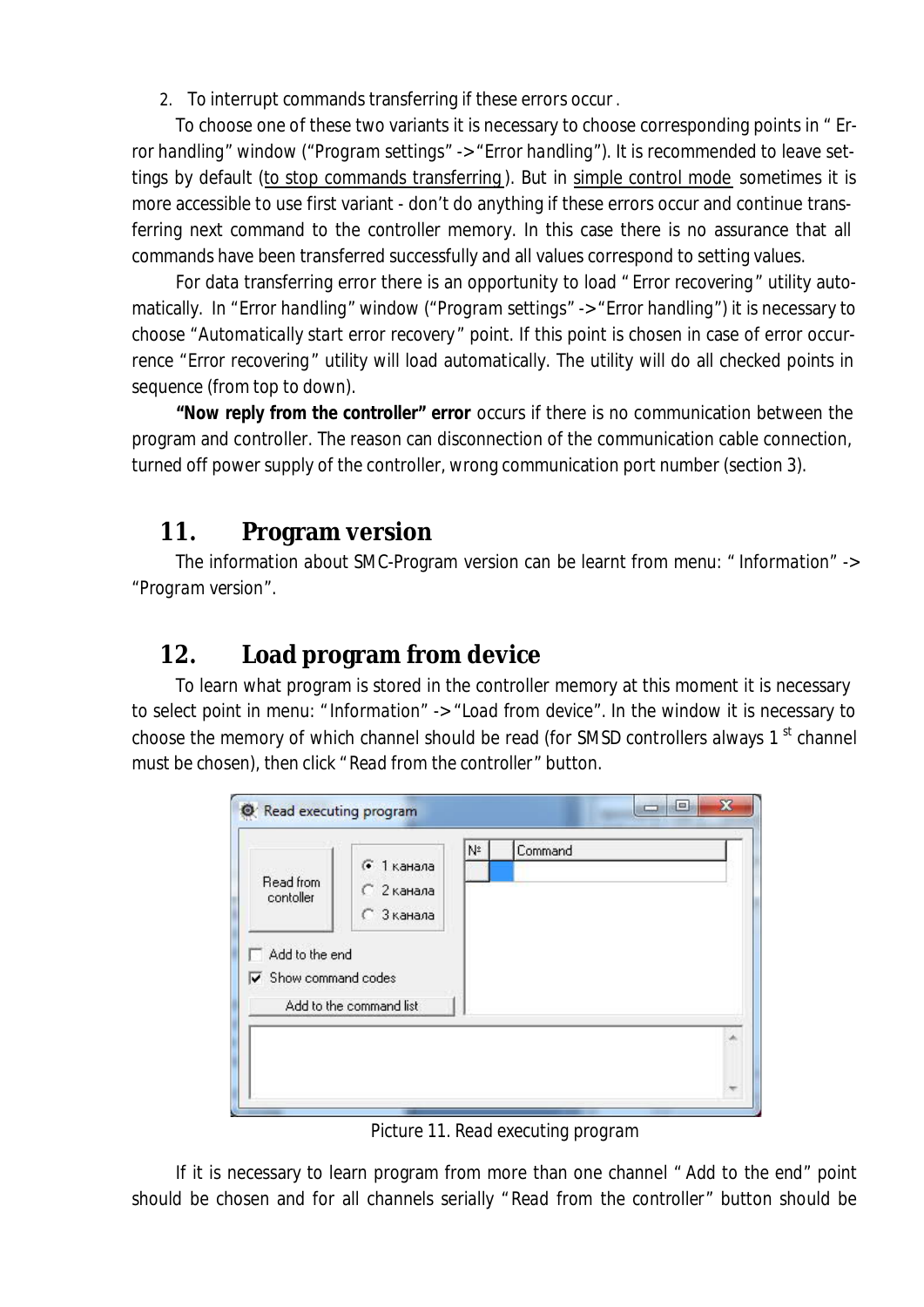2. To interrupt commands transferring if these errors occur .

To choose one of these two variants it is necessary to choose corresponding points in " *Error handling*" window ("*Program settings*" -> "*Error handling*"). It is recommended to leave settings by default (to stop commands transferring ). But in simple control mode sometimes it is more accessible to use first variant - don't do anything if these errors occur and continue transferring next command to the controller memory. In this case there is no assurance that all commands have been transferred successfully and all values correspond to setting values.

For data transferring error there is an opportunity to load " *Error recovering*" utility automatically. In "*Error handling*" window ("*Program settings*" -> "*Error handling*") it is necessary to choose "*Automatically start error recovery* " point. If this point is chosen in case of error occurrence "*Error recovering*" utility will load automatically. The utility will do all checked points in sequence (from top to down).

*"Now reply from the controller" error* occurs if there is no communication between the program and controller. The reason can disconnection of the communication cable connection, turned off power supply of the controller, wrong communication port number (section 3).

## **11. Program version**

The information about SMC-Program version can be learnt from menu: " *Information*" -> "*Program version*".

# **12. Load program from device**

To learn what program is stored in the controller memory at this moment it is necessary to select point in menu: " *Information*" -> "*Load from device*". In the window it is necessary to choose the memory of which channel should be read (for SMSD controllers always 1 $^{\rm st}$  channel must be chosen), then click "*Read from the controller*" button.



*Picture 11. Read executing program*

If it is necessary to learn program from more than one channel " *Add to the end*" point should be chosen and for all channels serially "*Read from the controller*" button should be